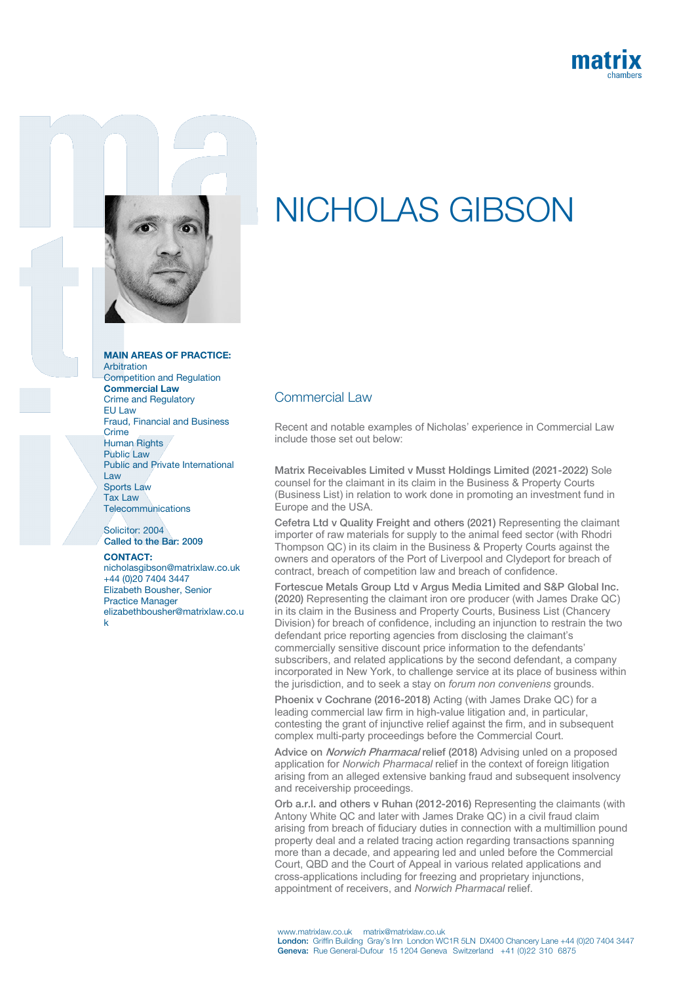



## MAIN AREAS OF PRACTICE:

Arbitration Competition and Regulation Commercial Law Crime and Regulatory EU Law Fraud, Financial and Business Crime Human Rights Public Law Public and Private International Law Sports Law Tax Law **Telecommunications** 

Solicitor: 2004 Called to the Bar: 2009

## CONTACT:

nicholasgibson@matrixlaw.co.uk +44 (0)20 7404 3447 Elizabeth Bousher, Senior Practice Manager elizabethbousher@matrixlaw.co.u k

## NICHOLAS GIBSON

## Commercial Law

Recent and notable examples of Nicholas' experience in Commercial Law include those set out below:

Matrix Receivables Limited v Musst Holdings Limited (2021-2022) Sole counsel for the claimant in its claim in the Business & Property Courts (Business List) in relation to work done in promoting an investment fund in Europe and the USA.

Cefetra Ltd v Quality Freight and others (2021) Representing the claimant importer of raw materials for supply to the animal feed sector (with Rhodri Thompson QC) in its claim in the Business & Property Courts against the owners and operators of the Port of Liverpool and Clydeport for breach of contract, breach of competition law and breach of confidence.

Fortescue Metals Group Ltd v Argus Media Limited and S&P Global Inc. (2020) Representing the claimant iron ore producer (with James Drake QC) in its claim in the Business and Property Courts, Business List (Chancery Division) for breach of confidence, including an injunction to restrain the two defendant price reporting agencies from disclosing the claimant's commercially sensitive discount price information to the defendants' subscribers, and related applications by the second defendant, a company incorporated in New York, to challenge service at its place of business within the jurisdiction, and to seek a stay on *forum non conveniens* grounds.

Phoenix v Cochrane (2016-2018) Acting (with James Drake QC) for a leading commercial law firm in high-value litigation and, in particular, contesting the grant of injunctive relief against the firm, and in subsequent complex multi-party proceedings before the Commercial Court.

Advice on *Norwich Pharmacal* relief (2018) Advising unled on a proposed application for *Norwich Pharmacal* relief in the context of foreign litigation arising from an alleged extensive banking fraud and subsequent insolvency and receivership proceedings.

Orb a.r.l. and others v Ruhan (2012-2016) Representing the claimants (with Antony White QC and later with James Drake QC) in a civil fraud claim arising from breach of fiduciary duties in connection with a multimillion pound property deal and a related tracing action regarding transactions spanning more than a decade, and appearing led and unled before the Commercial Court, QBD and the Court of Appeal in various related applications and cross-applications including for freezing and proprietary injunctions, appointment of receivers, and *Norwich Pharmacal* relief.

www.matrixlaw.co.uk matrix@matrixlaw.co.uk London: Griffin Building Gray's Inn London WC1R 5LN DX400 Chancery Lane +44 (0)20 7404 3447 Geneva: Rue General-Dufour 15 1204 Geneva Switzerland +41 (0)22 310 6875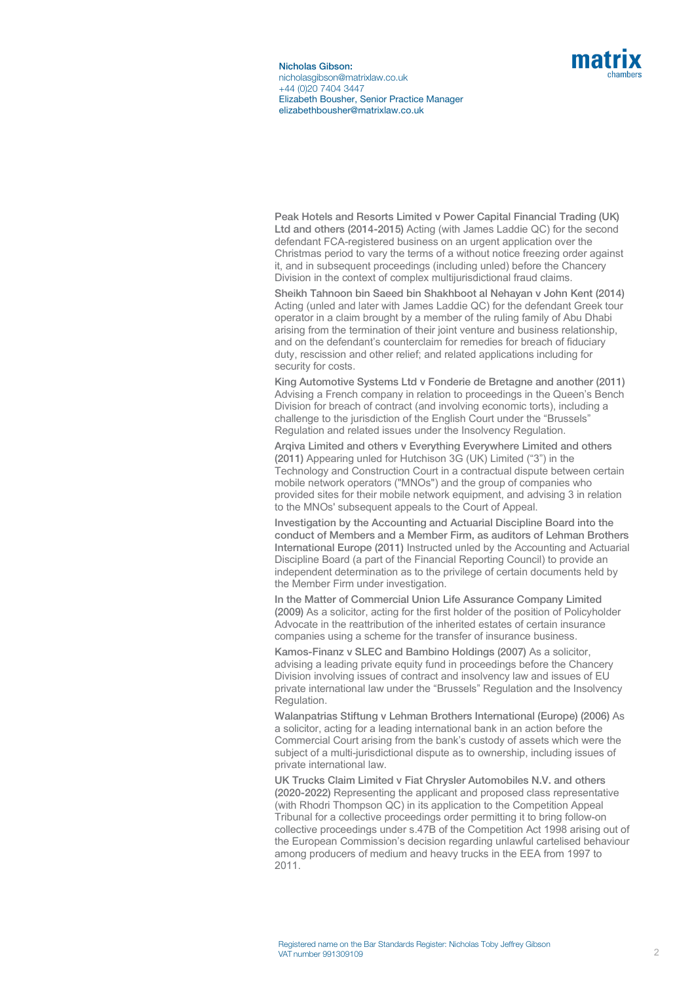

Nicholas Gibson: nicholasgibson@matrixlaw.co.uk +44 (0)20 7404 3447 Elizabeth Bousher, Senior Practice Manager elizabethbousher@matrixlaw.co.uk

Peak Hotels and Resorts Limited v Power Capital Financial Trading (UK) Ltd and others (2014-2015) Acting (with James Laddie QC) for the second defendant FCA-registered business on an urgent application over the Christmas period to vary the terms of a without notice freezing order against it, and in subsequent proceedings (including unled) before the Chancery Division in the context of complex multijurisdictional fraud claims.

Sheikh Tahnoon bin Saeed bin Shakhboot al Nehayan v John Kent (2014) Acting (unled and later with James Laddie QC) for the defendant Greek tour operator in a claim brought by a member of the ruling family of Abu Dhabi arising from the termination of their joint venture and business relationship, and on the defendant's counterclaim for remedies for breach of fiduciary duty, rescission and other relief; and related applications including for security for costs.

King Automotive Systems Ltd v Fonderie de Bretagne and another (2011) Advising a French company in relation to proceedings in the Queen's Bench Division for breach of contract (and involving economic torts), including a challenge to the jurisdiction of the English Court under the "Brussels" Regulation and related issues under the Insolvency Regulation.

Arqiva Limited and others v Everything Everywhere Limited and others (2011) Appearing unled for Hutchison 3G (UK) Limited ("3") in the Technology and Construction Court in a contractual dispute between certain mobile network operators ("MNOs") and the group of companies who provided sites for their mobile network equipment, and advising 3 in relation to the MNOs' subsequent appeals to the Court of Appeal.

Investigation by the Accounting and Actuarial Discipline Board into the conduct of Members and a Member Firm, as auditors of Lehman Brothers International Europe (2011) Instructed unled by the Accounting and Actuarial Discipline Board (a part of the Financial Reporting Council) to provide an independent determination as to the privilege of certain documents held by the Member Firm under investigation.

In the Matter of Commercial Union Life Assurance Company Limited (2009) As a solicitor, acting for the first holder of the position of Policyholder Advocate in the reattribution of the inherited estates of certain insurance companies using a scheme for the transfer of insurance business.

Kamos-Finanz v SLEC and Bambino Holdings (2007) As a solicitor, advising a leading private equity fund in proceedings before the Chancery Division involving issues of contract and insolvency law and issues of EU private international law under the "Brussels" Regulation and the Insolvency Regulation.

Walanpatrias Stiftung v Lehman Brothers International (Europe) (2006) As a solicitor, acting for a leading international bank in an action before the Commercial Court arising from the bank's custody of assets which were the subject of a multi-jurisdictional dispute as to ownership, including issues of private international law.

UK Trucks Claim Limited v Fiat Chrysler Automobiles N.V. and others (2020-2022) Representing the applicant and proposed class representative (with Rhodri Thompson QC) in its application to the Competition Appeal Tribunal for a collective proceedings order permitting it to bring follow-on collective proceedings under s.47B of the Competition Act 1998 arising out of the European Commission's decision regarding unlawful cartelised behaviour among producers of medium and heavy trucks in the EEA from 1997 to 2011.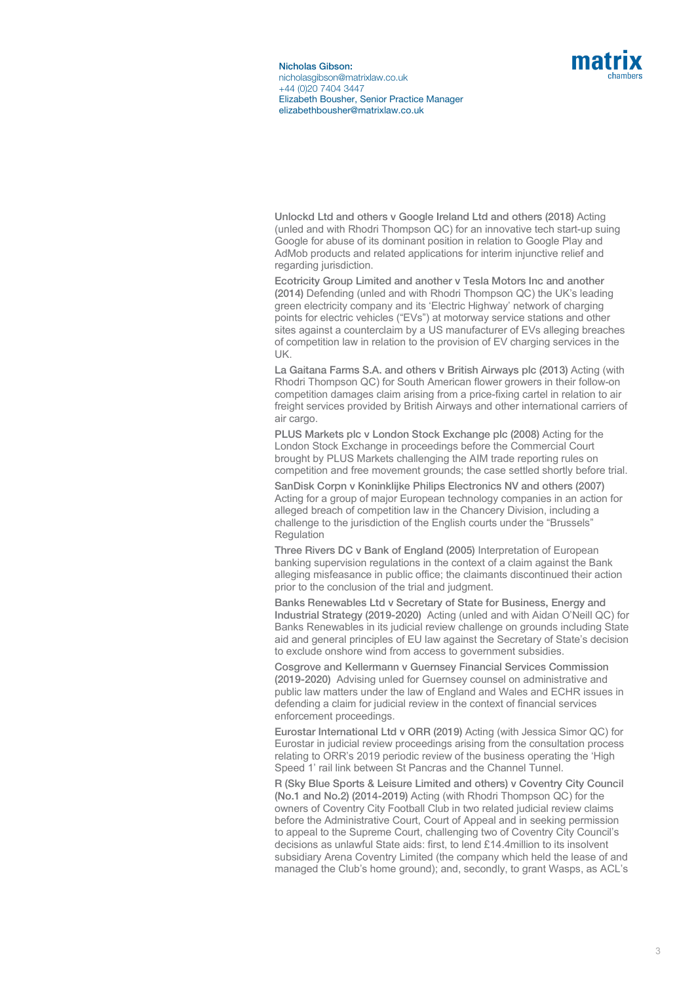

Nicholas Gibson: nicholasgibson@matrixlaw.co.uk +44 (0)20 7404 3447 Elizabeth Bousher, Senior Practice Manager elizabethbousher@matrixlaw.co.uk

Unlockd Ltd and others v Google Ireland Ltd and others (2018) Acting (unled and with Rhodri Thompson QC) for an innovative tech start-up suing Google for abuse of its dominant position in relation to Google Play and AdMob products and related applications for interim injunctive relief and regarding jurisdiction.

Ecotricity Group Limited and another v Tesla Motors Inc and another (2014) Defending (unled and with Rhodri Thompson QC) the UK's leading green electricity company and its 'Electric Highway' network of charging points for electric vehicles ("EVs") at motorway service stations and other sites against a counterclaim by a US manufacturer of EVs alleging breaches of competition law in relation to the provision of EV charging services in the UK.

La Gaitana Farms S.A. and others v British Airways plc (2013) Acting (with Rhodri Thompson QC) for South American flower growers in their follow-on competition damages claim arising from a price-fixing cartel in relation to air freight services provided by British Airways and other international carriers of air cargo.

PLUS Markets plc v London Stock Exchange plc (2008) Acting for the London Stock Exchange in proceedings before the Commercial Court brought by PLUS Markets challenging the AIM trade reporting rules on competition and free movement grounds; the case settled shortly before trial.

SanDisk Corpn v Koninklijke Philips Electronics NV and others (2007) Acting for a group of major European technology companies in an action for alleged breach of competition law in the Chancery Division, including a challenge to the jurisdiction of the English courts under the "Brussels" Regulation

Three Rivers DC v Bank of England (2005) Interpretation of European banking supervision regulations in the context of a claim against the Bank alleging misfeasance in public office; the claimants discontinued their action prior to the conclusion of the trial and judgment.

Banks Renewables Ltd v Secretary of State for Business, Energy and Industrial Strategy (2019-2020) Acting (unled and with Aidan O'Neill QC) for Banks Renewables in its judicial review challenge on grounds including State aid and general principles of EU law against the Secretary of State's decision to exclude onshore wind from access to government subsidies.

Cosgrove and Kellermann v Guernsey Financial Services Commission (2019-2020) Advising unled for Guernsey counsel on administrative and public law matters under the law of England and Wales and ECHR issues in defending a claim for judicial review in the context of financial services enforcement proceedings.

Eurostar International Ltd v ORR (2019) Acting (with Jessica Simor QC) for Eurostar in judicial review proceedings arising from the consultation process relating to ORR's 2019 periodic review of the business operating the 'High Speed 1' rail link between St Pancras and the Channel Tunnel.

R (Sky Blue Sports & Leisure Limited and others) v Coventry City Council (No.1 and No.2) (2014-2019) Acting (with Rhodri Thompson QC) for the owners of Coventry City Football Club in two related judicial review claims before the Administrative Court, Court of Appeal and in seeking permission to appeal to the Supreme Court, challenging two of Coventry City Council's decisions as unlawful State aids: first, to lend £14.4million to its insolvent subsidiary Arena Coventry Limited (the company which held the lease of and managed the Club's home ground); and, secondly, to grant Wasps, as ACL's